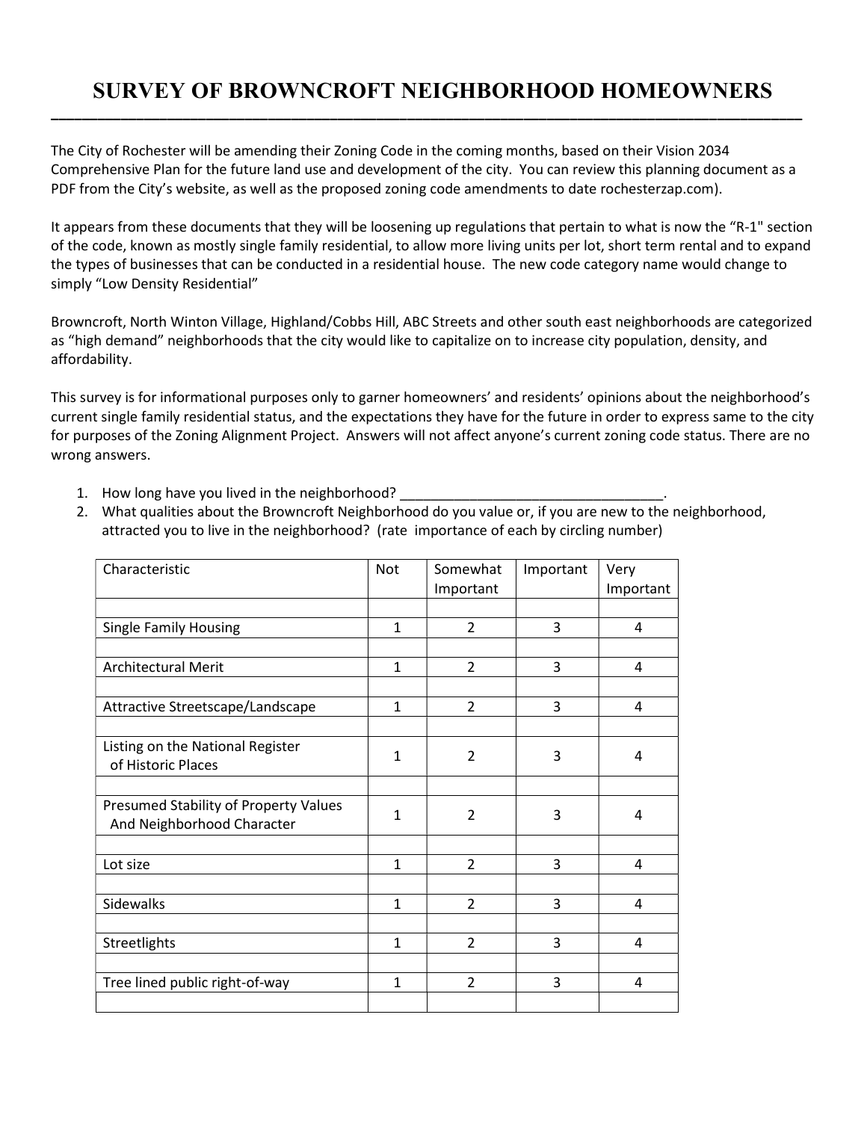## SURVEY OF BROWNCROFT NEIGHBORHOOD HOMEOWNERS \_\_\_\_\_\_\_\_\_\_\_\_\_\_\_\_\_\_\_\_\_\_\_\_\_\_\_\_\_\_\_\_\_\_\_\_\_\_\_\_\_\_\_\_\_\_\_\_\_\_\_\_\_\_\_\_\_\_\_\_\_\_\_\_\_\_\_\_\_\_\_\_\_\_\_\_\_\_\_\_\_\_\_\_\_\_\_\_\_\_\_\_\_\_\_\_\_

The City of Rochester will be amending their Zoning Code in the coming months, based on their Vision 2034 Comprehensive Plan for the future land use and development of the city. You can review this planning document as a PDF from the City's website, as well as the proposed zoning code amendments to date rochesterzap.com).

It appears from these documents that they will be loosening up regulations that pertain to what is now the "R-1" section of the code, known as mostly single family residential, to allow more living units per lot, short term rental and to expand the types of businesses that can be conducted in a residential house. The new code category name would change to simply "Low Density Residential"

Browncroft, North Winton Village, Highland/Cobbs Hill, ABC Streets and other south east neighborhoods are categorized as "high demand" neighborhoods that the city would like to capitalize on to increase city population, density, and affordability.

This survey is for informational purposes only to garner homeowners' and residents' opinions about the neighborhood's current single family residential status, and the expectations they have for the future in order to express same to the city for purposes of the Zoning Alignment Project. Answers will not affect anyone's current zoning code status. There are no wrong answers.

- 1. How long have you lived in the neighborhood? \_
- 2. What qualities about the Browncroft Neighborhood do you value or, if you are new to the neighborhood, attracted you to live in the neighborhood? (rate importance of each by circling number)

| Characteristic                        | Not          | Somewhat       | Important | Very      |
|---------------------------------------|--------------|----------------|-----------|-----------|
|                                       |              | Important      |           | Important |
|                                       |              |                |           |           |
| <b>Single Family Housing</b>          | $\mathbf{1}$ | $\overline{2}$ | 3         | 4         |
|                                       |              |                |           |           |
| <b>Architectural Merit</b>            | $\mathbf{1}$ | $\overline{2}$ | 3         | 4         |
|                                       |              |                |           |           |
| Attractive Streetscape/Landscape      | $\mathbf{1}$ | $\overline{2}$ | 3         | 4         |
|                                       |              |                |           |           |
| Listing on the National Register      | 1            | $\overline{2}$ | 3         | 4         |
| of Historic Places                    |              |                |           |           |
|                                       |              |                |           |           |
| Presumed Stability of Property Values | $\mathbf{1}$ | $\overline{2}$ | 3         | 4         |
| And Neighborhood Character            |              |                |           |           |
|                                       |              |                |           |           |
| Lot size                              | $\mathbf{1}$ | $\overline{2}$ | 3         | 4         |
|                                       |              |                |           |           |
| Sidewalks                             | 1            | $\overline{2}$ | 3         | 4         |
|                                       |              |                |           |           |
| Streetlights                          | $\mathbf{1}$ | $\overline{2}$ | 3         | 4         |
|                                       |              |                |           |           |
| Tree lined public right-of-way        | $\mathbf{1}$ | $\overline{2}$ | 3         | 4         |
|                                       |              |                |           |           |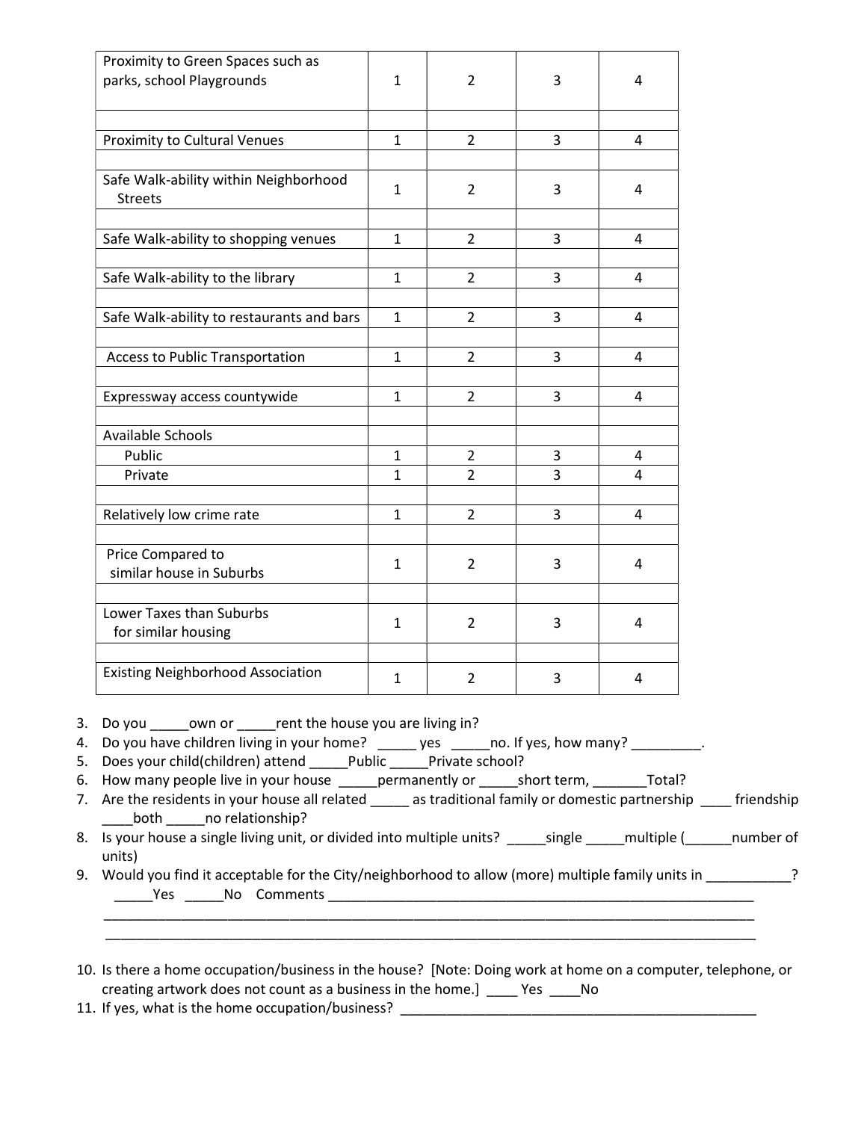| Proximity to Green Spaces such as<br>parks, school Playgrounds | 1            | 2              | 3 | 4 |
|----------------------------------------------------------------|--------------|----------------|---|---|
| Proximity to Cultural Venues                                   | $\mathbf{1}$ | $\overline{2}$ | 3 | 4 |
| Safe Walk-ability within Neighborhood<br><b>Streets</b>        | 1            | $\overline{2}$ | 3 | 4 |
| Safe Walk-ability to shopping venues                           | 1            | 2              | 3 | 4 |
| Safe Walk-ability to the library                               | $\mathbf{1}$ | $\overline{2}$ | 3 | 4 |
| Safe Walk-ability to restaurants and bars                      | $\mathbf{1}$ | $\overline{2}$ | 3 | 4 |
| <b>Access to Public Transportation</b>                         | $\mathbf{1}$ | $\overline{2}$ | 3 | 4 |
| Expressway access countywide                                   | $\mathbf{1}$ | $\overline{2}$ | 3 | 4 |
| Available Schools                                              |              |                |   |   |
| Public                                                         | 1            | 2              | 3 | 4 |
| Private                                                        | $\mathbf{1}$ | $\overline{2}$ | 3 | 4 |
| Relatively low crime rate                                      | $\mathbf{1}$ | $\overline{2}$ | 3 | 4 |
| Price Compared to<br>similar house in Suburbs                  | 1            | $\overline{2}$ | 3 | 4 |
| Lower Taxes than Suburbs<br>for similar housing                | 1            | $\overline{2}$ | 3 | 4 |
| <b>Existing Neighborhood Association</b>                       | $\mathbf{1}$ | $\overline{2}$ | 3 | 4 |

3. Do you \_\_\_\_\_\_own or \_\_\_\_\_\_ rent the house you are living in?

4. Do you have children living in your home? \_\_\_\_\_ yes \_\_\_\_\_no. If yes, how many? \_\_\_\_\_\_\_\_\_.

5. Does your child(children) attend \_\_\_\_\_Public \_\_\_\_\_Private school?

6. How many people live in your house \_\_\_\_\_permanently or \_\_\_\_\_short term, \_\_\_\_\_\_\_Total?

7. Are the residents in your house all related \_\_\_\_\_ as traditional family or domestic partnership \_\_\_\_ friendship \_\_\_\_both \_\_\_\_\_no relationship?

8. Is your house a single living unit, or divided into multiple units? \_\_\_\_\_\_single \_\_\_\_\_multiple (\_\_\_\_\_\_number of units)

9. Would you find it acceptable for the City/neighborhood to allow (more) multiple family units in \_\_\_\_\_\_\_\_\_\_? \_\_\_\_\_Yes \_\_\_\_\_No Comments \_\_\_\_\_\_\_\_\_\_\_\_\_\_\_\_\_\_\_\_\_\_\_\_\_\_\_\_\_\_\_\_\_\_\_\_\_\_\_\_\_\_\_\_\_\_\_\_\_\_\_\_\_\_\_

\_\_\_\_\_\_\_\_\_\_\_\_\_\_\_\_\_\_\_\_\_\_\_\_\_\_\_\_\_\_\_\_\_\_\_\_\_\_\_\_\_\_\_\_\_\_\_\_\_\_\_\_\_\_\_\_\_\_\_\_\_\_\_\_\_\_\_\_\_\_\_\_\_\_\_\_\_\_\_\_\_\_\_\_

10. Is there a home occupation/business in the house? [Note: Doing work at home on a computer, telephone, or creating artwork does not count as a business in the home.] \_\_\_\_ Yes \_\_\_\_No

\_\_\_\_\_\_\_\_\_\_\_\_\_\_\_\_\_\_\_\_\_\_\_\_\_\_\_\_\_\_\_\_\_\_\_\_\_\_\_\_\_\_\_\_\_\_\_\_\_\_\_\_\_\_\_\_\_\_\_\_\_\_\_\_\_\_\_\_\_\_\_\_\_\_\_\_\_\_\_\_\_\_\_\_

11. If yes, what is the home occupation/business? \_\_\_\_\_\_\_\_\_\_\_\_\_\_\_\_\_\_\_\_\_\_\_\_\_\_\_\_\_\_\_\_\_\_\_\_\_\_\_\_\_\_\_\_\_\_